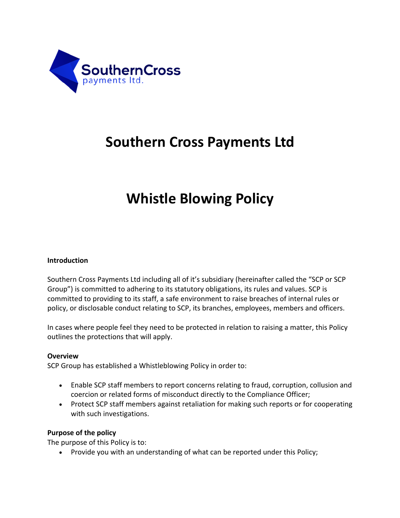

# **Southern Cross Payments Ltd**

# **Whistle Blowing Policy**

### **Introduction**

Southern Cross Payments Ltd including all of it's subsidiary (hereinafter called the "SCP or SCP Group") is committed to adhering to its statutory obligations, its rules and values. SCP is committed to providing to its staff, a safe environment to raise breaches of internal rules or policy, or disclosable conduct relating to SCP, its branches, employees, members and officers.

In cases where people feel they need to be protected in relation to raising a matter, this Policy outlines the protections that will apply.

#### **Overview**

SCP Group has established a Whistleblowing Policy in order to:

- Enable SCP staff members to report concerns relating to fraud, corruption, collusion and coercion or related forms of misconduct directly to the Compliance Officer;
- Protect SCP staff members against retaliation for making such reports or for cooperating with such investigations.

#### **Purpose of the policy**

The purpose of this Policy is to:

• Provide you with an understanding of what can be reported under this Policy;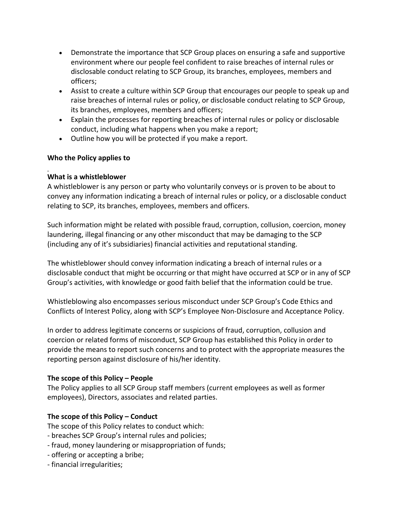- Demonstrate the importance that SCP Group places on ensuring a safe and supportive environment where our people feel confident to raise breaches of internal rules or disclosable conduct relating to SCP Group, its branches, employees, members and officers;
- Assist to create a culture within SCP Group that encourages our people to speak up and raise breaches of internal rules or policy, or disclosable conduct relating to SCP Group, its branches, employees, members and officers;
- Explain the processes for reporting breaches of internal rules or policy or disclosable conduct, including what happens when you make a report;
- Outline how you will be protected if you make a report.

# **Who the Policy applies to**

# **What is a whistleblower**

A whistleblower is any person or party who voluntarily conveys or is proven to be about to convey any information indicating a breach of internal rules or policy, or a disclosable conduct relating to SCP, its branches, employees, members and officers.

Such information might be related with possible fraud, corruption, collusion, coercion, money laundering, illegal financing or any other misconduct that may be damaging to the SCP (including any of it's subsidiaries) financial activities and reputational standing.

The whistleblower should convey information indicating a breach of internal rules or a disclosable conduct that might be occurring or that might have occurred at SCP or in any of SCP Group's activities, with knowledge or good faith belief that the information could be true.

Whistleblowing also encompasses serious misconduct under SCP Group's Code Ethics and Conflicts of Interest Policy, along with SCP's Employee Non-Disclosure and Acceptance Policy.

In order to address legitimate concerns or suspicions of fraud, corruption, collusion and coercion or related forms of misconduct, SCP Group has established this Policy in order to provide the means to report such concerns and to protect with the appropriate measures the reporting person against disclosure of his/her identity.

# **The scope of this Policy – People**

The Policy applies to all SCP Group staff members (current employees as well as former employees), Directors, associates and related parties.

# **The scope of this Policy – Conduct**

The scope of this Policy relates to conduct which:

- breaches SCP Group's internal rules and policies;
- fraud, money laundering or misappropriation of funds;
- offering or accepting a bribe;
- financial irregularities;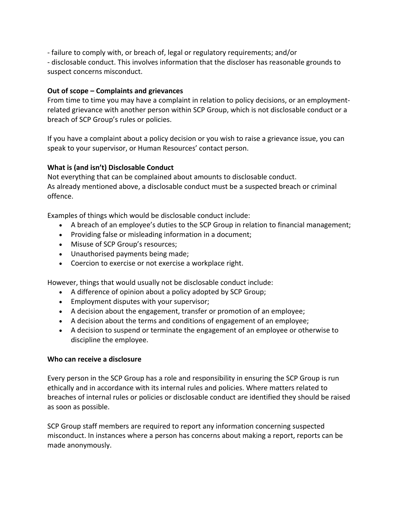- failure to comply with, or breach of, legal or regulatory requirements; and/or

- disclosable conduct. This involves information that the discloser has reasonable grounds to suspect concerns misconduct.

# **Out of scope – Complaints and grievances**

From time to time you may have a complaint in relation to policy decisions, or an employmentrelated grievance with another person within SCP Group, which is not disclosable conduct or a breach of SCP Group's rules or policies.

If you have a complaint about a policy decision or you wish to raise a grievance issue, you can speak to your supervisor, or Human Resources' contact person.

# **What is (and isn't) Disclosable Conduct**

Not everything that can be complained about amounts to disclosable conduct. As already mentioned above, a disclosable conduct must be a suspected breach or criminal offence.

Examples of things which would be disclosable conduct include:

- A breach of an employee's duties to the SCP Group in relation to financial management;
- Providing false or misleading information in a document;
- Misuse of SCP Group's resources;
- Unauthorised payments being made;
- Coercion to exercise or not exercise a workplace right.

However, things that would usually not be disclosable conduct include:

- A difference of opinion about a policy adopted by SCP Group;
- Employment disputes with your supervisor;
- A decision about the engagement, transfer or promotion of an employee;
- A decision about the terms and conditions of engagement of an employee;
- A decision to suspend or terminate the engagement of an employee or otherwise to discipline the employee.

# **Who can receive a disclosure**

Every person in the SCP Group has a role and responsibility in ensuring the SCP Group is run ethically and in accordance with its internal rules and policies. Where matters related to breaches of internal rules or policies or disclosable conduct are identified they should be raised as soon as possible.

SCP Group staff members are required to report any information concerning suspected misconduct. In instances where a person has concerns about making a report, reports can be made anonymously.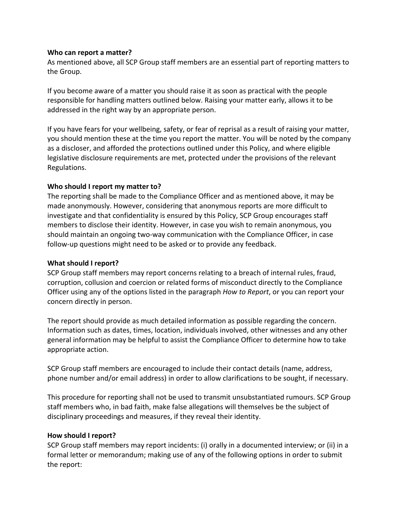#### **Who can report a matter?**

As mentioned above, all SCP Group staff members are an essential part of reporting matters to the Group.

If you become aware of a matter you should raise it as soon as practical with the people responsible for handling matters outlined below. Raising your matter early, allows it to be addressed in the right way by an appropriate person.

If you have fears for your wellbeing, safety, or fear of reprisal as a result of raising your matter, you should mention these at the time you report the matter. You will be noted by the company as a discloser, and afforded the protections outlined under this Policy, and where eligible legislative disclosure requirements are met, protected under the provisions of the relevant Regulations.

#### **Who should I report my matter to?**

The reporting shall be made to the Compliance Officer and as mentioned above, it may be made anonymously. However, considering that anonymous reports are more difficult to investigate and that confidentiality is ensured by this Policy, SCP Group encourages staff members to disclose their identity. However, in case you wish to remain anonymous, you should maintain an ongoing two-way communication with the Compliance Officer, in case follow-up questions might need to be asked or to provide any feedback.

#### **What should I report?**

SCP Group staff members may report concerns relating to a breach of internal rules, fraud, corruption, collusion and coercion or related forms of misconduct directly to the Compliance Officer using any of the options listed in the paragraph *How to Report*, or you can report your concern directly in person.

The report should provide as much detailed information as possible regarding the concern. Information such as dates, times, location, individuals involved, other witnesses and any other general information may be helpful to assist the Compliance Officer to determine how to take appropriate action.

SCP Group staff members are encouraged to include their contact details (name, address, phone number and/or email address) in order to allow clarifications to be sought, if necessary.

This procedure for reporting shall not be used to transmit unsubstantiated rumours. SCP Group staff members who, in bad faith, make false allegations will themselves be the subject of disciplinary proceedings and measures, if they reveal their identity.

# **How should I report?**

SCP Group staff members may report incidents: (i) orally in a documented interview; or (ii) in a formal letter or memorandum; making use of any of the following options in order to submit the report: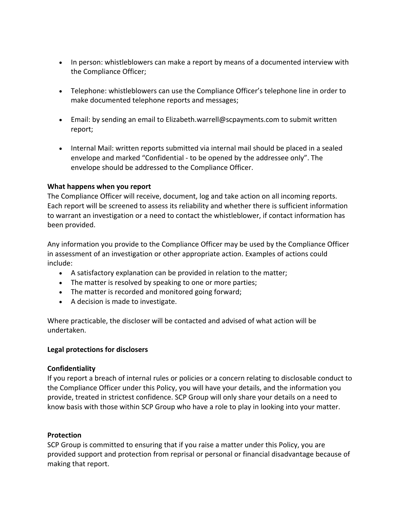- In person: whistleblowers can make a report by means of a documented interview with the Compliance Officer;
- Telephone: whistleblowers can use the Compliance Officer's telephone line in order to make documented telephone reports and messages;
- Email: by sending an email to Elizabeth.warrell@scpayments.com to submit written report;
- Internal Mail: written reports submitted via internal mail should be placed in a sealed envelope and marked "Confidential - to be opened by the addressee only". The envelope should be addressed to the Compliance Officer.

#### **What happens when you report**

The Compliance Officer will receive, document, log and take action on all incoming reports. Each report will be screened to assess its reliability and whether there is sufficient information to warrant an investigation or a need to contact the whistleblower, if contact information has been provided.

Any information you provide to the Compliance Officer may be used by the Compliance Officer in assessment of an investigation or other appropriate action. Examples of actions could include:

- A satisfactory explanation can be provided in relation to the matter;
- The matter is resolved by speaking to one or more parties;
- The matter is recorded and monitored going forward;
- A decision is made to investigate.

Where practicable, the discloser will be contacted and advised of what action will be undertaken.

# **Legal protections for disclosers**

#### **Confidentiality**

If you report a breach of internal rules or policies or a concern relating to disclosable conduct to the Compliance Officer under this Policy, you will have your details, and the information you provide, treated in strictest confidence. SCP Group will only share your details on a need to know basis with those within SCP Group who have a role to play in looking into your matter.

#### **Protection**

SCP Group is committed to ensuring that if you raise a matter under this Policy, you are provided support and protection from reprisal or personal or financial disadvantage because of making that report.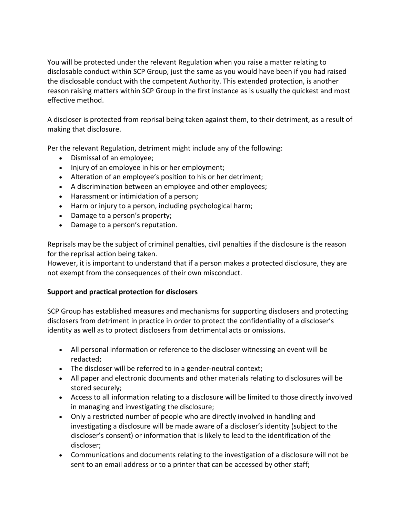You will be protected under the relevant Regulation when you raise a matter relating to disclosable conduct within SCP Group, just the same as you would have been if you had raised the disclosable conduct with the competent Authority. This extended protection, is another reason raising matters within SCP Group in the first instance as is usually the quickest and most effective method.

A discloser is protected from reprisal being taken against them, to their detriment, as a result of making that disclosure.

Per the relevant Regulation, detriment might include any of the following:

- Dismissal of an employee;
- Injury of an employee in his or her employment;
- Alteration of an employee's position to his or her detriment;
- A discrimination between an employee and other employees;
- Harassment or intimidation of a person;
- Harm or injury to a person, including psychological harm;
- Damage to a person's property;
- Damage to a person's reputation.

Reprisals may be the subject of criminal penalties, civil penalties if the disclosure is the reason for the reprisal action being taken.

However, it is important to understand that if a person makes a protected disclosure, they are not exempt from the consequences of their own misconduct.

# **Support and practical protection for disclosers**

SCP Group has established measures and mechanisms for supporting disclosers and protecting disclosers from detriment in practice in order to protect the confidentiality of a discloser's identity as well as to protect disclosers from detrimental acts or omissions.

- All personal information or reference to the discloser witnessing an event will be redacted;
- The discloser will be referred to in a gender-neutral context;
- All paper and electronic documents and other materials relating to disclosures will be stored securely;
- Access to all information relating to a disclosure will be limited to those directly involved in managing and investigating the disclosure;
- Only a restricted number of people who are directly involved in handling and investigating a disclosure will be made aware of a discloser's identity (subject to the discloser's consent) or information that is likely to lead to the identification of the discloser;
- Communications and documents relating to the investigation of a disclosure will not be sent to an email address or to a printer that can be accessed by other staff;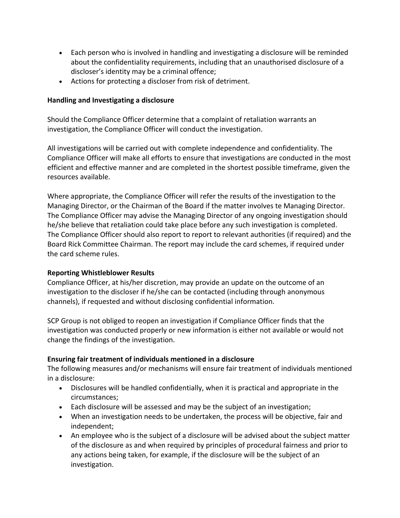- Each person who is involved in handling and investigating a disclosure will be reminded about the confidentiality requirements, including that an unauthorised disclosure of a discloser's identity may be a criminal offence;
- Actions for protecting a discloser from risk of detriment.

### **Handling and Investigating a disclosure**

Should the Compliance Officer determine that a complaint of retaliation warrants an investigation, the Compliance Officer will conduct the investigation.

All investigations will be carried out with complete independence and confidentiality. The Compliance Officer will make all efforts to ensure that investigations are conducted in the most efficient and effective manner and are completed in the shortest possible timeframe, given the resources available.

Where appropriate, the Compliance Officer will refer the results of the investigation to the Managing Director, or the Chairman of the Board if the matter involves te Managing Director. The Compliance Officer may advise the Managing Director of any ongoing investigation should he/she believe that retaliation could take place before any such investigation is completed. The Compliance Officer should also report to report to relevant authorities (if required) and the Board Rick Committee Chairman. The report may include the card schemes, if required under the card scheme rules.

#### **Reporting Whistleblower Results**

Compliance Officer, at his/her discretion, may provide an update on the outcome of an investigation to the discloser if he/she can be contacted (including through anonymous channels), if requested and without disclosing confidential information.

SCP Group is not obliged to reopen an investigation if Compliance Officer finds that the investigation was conducted properly or new information is either not available or would not change the findings of the investigation.

# **Ensuring fair treatment of individuals mentioned in a disclosure**

The following measures and/or mechanisms will ensure fair treatment of individuals mentioned in a disclosure:

- Disclosures will be handled confidentially, when it is practical and appropriate in the circumstances;
- Each disclosure will be assessed and may be the subject of an investigation;
- When an investigation needs to be undertaken, the process will be objective, fair and independent;
- An employee who is the subject of a disclosure will be advised about the subject matter of the disclosure as and when required by principles of procedural fairness and prior to any actions being taken, for example, if the disclosure will be the subject of an investigation.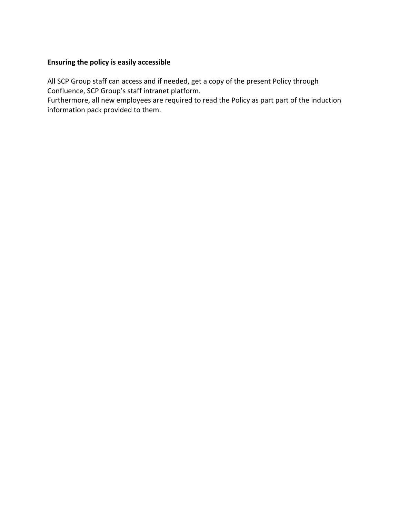# **Ensuring the policy is easily accessible**

All SCP Group staff can access and if needed, get a copy of the present Policy through Confluence, SCP Group's staff intranet platform.

Furthermore, all new employees are required to read the Policy as part part of the induction information pack provided to them.